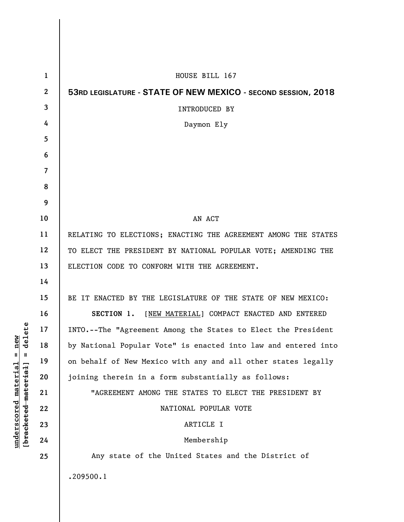| $\mathbf{1}$ | HOUSE BILL 167                                                 |
|--------------|----------------------------------------------------------------|
| $\mathbf{2}$ | 53RD LEGISLATURE - STATE OF NEW MEXICO - SECOND SESSION, 2018  |
| 3            | INTRODUCED BY                                                  |
| 4            | Daymon Ely                                                     |
| 5            |                                                                |
| 6            |                                                                |
| 7            |                                                                |
| 8            |                                                                |
| 9            |                                                                |
| 10           | AN ACT                                                         |
| 11           | RELATING TO ELECTIONS; ENACTING THE AGREEMENT AMONG THE STATES |
| 12           | TO ELECT THE PRESIDENT BY NATIONAL POPULAR VOTE; AMENDING THE  |
| 13           | ELECTION CODE TO CONFORM WITH THE AGREEMENT.                   |
| 14           |                                                                |
| 15           | BE IT ENACTED BY THE LEGISLATURE OF THE STATE OF NEW MEXICO:   |
| 16           | SECTION 1. [NEW MATERIAL] COMPACT ENACTED AND ENTERED          |
| 17           | INTO.--The "Agreement Among the States to Elect the President  |
| 18           | by National Popular Vote" is enacted into law and entered into |
| 19           | on behalf of New Mexico with any and all other states legally  |
| 20           | joining therein in a form substantially as follows:            |
| 21           | "AGREEMENT AMONG THE STATES TO ELECT THE PRESIDENT BY          |
| 22           | NATIONAL POPULAR VOTE                                          |
| 23           | ARTICLE I                                                      |
| 24           | Membership                                                     |
| 25           | Any state of the United States and the District of             |
|              | .209500.1                                                      |
|              |                                                                |

**underscored material = new [bracketed material] = delete**

 $[bracketeed-materiat] = delete$  $underscored material = new$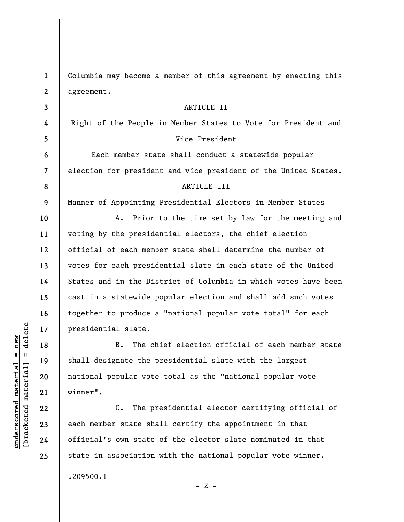**1 2 3 4 5 6 7 8 9 10 11 12 13 14 15 16 17 18 19 20 21 22 23 24 25**  Columbia may become a member of this agreement by enacting this agreement. ARTICLE II Right of the People in Member States to Vote for President and Vice President Each member state shall conduct a statewide popular election for president and vice president of the United States. ARTICLE III Manner of Appointing Presidential Electors in Member States A. Prior to the time set by law for the meeting and voting by the presidential electors, the chief election official of each member state shall determine the number of votes for each presidential slate in each state of the United States and in the District of Columbia in which votes have been cast in a statewide popular election and shall add such votes together to produce a "national popular vote total" for each presidential slate. B. The chief election official of each member state shall designate the presidential slate with the largest national popular vote total as the "national popular vote winner". C. The presidential elector certifying official of each member state shall certify the appointment in that official's own state of the elector slate nominated in that state in association with the national popular vote winner. .209500.1

 $\frac{1}{2}$  intereted material = delete **[bracketed material] = delete**  $underscored material = new$ **underscored material = new**

 $- 2 -$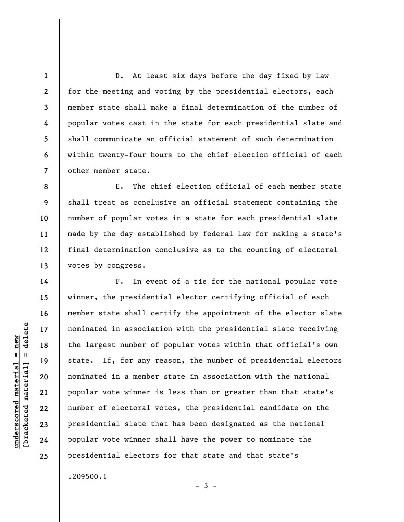D. At least six days before the day fixed by law for the meeting and voting by the presidential electors, each member state shall make a final determination of the number of popular votes cast in the state for each presidential slate and shall communicate an official statement of such determination within twenty-four hours to the chief election official of each other member state.

**8 9 10 11 12 13**  E. The chief election official of each member state shall treat as conclusive an official statement containing the number of popular votes in a state for each presidential slate made by the day established by federal law for making a state's final determination conclusive as to the counting of electoral votes by congress.

F. In event of a tie for the national popular vote winner, the presidential elector certifying official of each member state shall certify the appointment of the elector slate nominated in association with the presidential slate receiving the largest number of popular votes within that official's own state. If, for any reason, the number of presidential electors nominated in a member state in association with the national popular vote winner is less than or greater than that state's number of electoral votes, the presidential candidate on the presidential slate that has been designated as the national popular vote winner shall have the power to nominate the presidential electors for that state and that state's

 $-3 -$ 

.209500.1

 $\frac{1}{2}$  intereted material = delete **[bracketed material] = delete**  $underscored material = new$ **underscored material = new**

**1** 

**2** 

**3** 

**4** 

**5** 

**6** 

**7** 

**14** 

**15** 

**16** 

**17** 

**18** 

**19** 

**20** 

**21** 

**22** 

**23** 

**24** 

**25**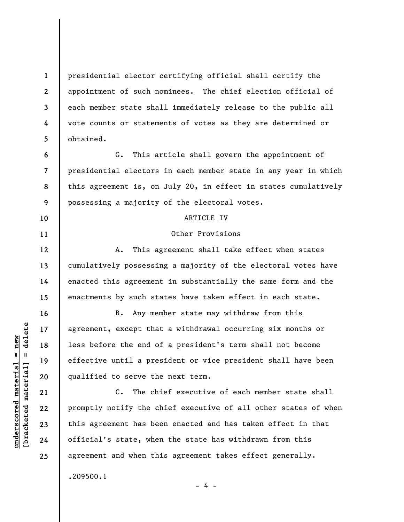presidential elector certifying official shall certify the appointment of such nominees. The chief election official of each member state shall immediately release to the public all vote counts or statements of votes as they are determined or obtained.

**7 8 9**  G. This article shall govern the appointment of presidential electors in each member state in any year in which this agreement is, on July 20, in effect in states cumulatively possessing a majority of the electoral votes.

## ARTICLE IV

## Other Provisions

A. This agreement shall take effect when states cumulatively possessing a majority of the electoral votes have enacted this agreement in substantially the same form and the enactments by such states have taken effect in each state.

B. Any member state may withdraw from this agreement, except that a withdrawal occurring six months or less before the end of a president's term shall not become effective until a president or vice president shall have been qualified to serve the next term.

C. The chief executive of each member state shall promptly notify the chief executive of all other states of when this agreement has been enacted and has taken effect in that official's state, when the state has withdrawn from this agreement and when this agreement takes effect generally. .209500.1

- 4 -

 $\frac{1}{2}$  of  $\frac{1}{2}$  and  $\frac{1}{2}$  and  $\frac{1}{2}$  and  $\frac{1}{2}$  and  $\frac{1}{2}$  and  $\frac{1}{2}$  and  $\frac{1}{2}$  and  $\frac{1}{2}$  and  $\frac{1}{2}$  and  $\frac{1}{2}$  and  $\frac{1}{2}$  and  $\frac{1}{2}$  and  $\frac{1}{2}$  and  $\frac{1}{2}$  and  $\frac{1}{2}$  an **[bracketed material] = delete**  $underscored material = new$ **underscored material = new**

**1** 

**2** 

**3** 

**4** 

**5** 

**6** 

**10** 

**11** 

**12** 

**13** 

**14** 

**15** 

**16** 

**17** 

**18** 

**19** 

**20** 

**21** 

**22** 

**23** 

**24** 

**25**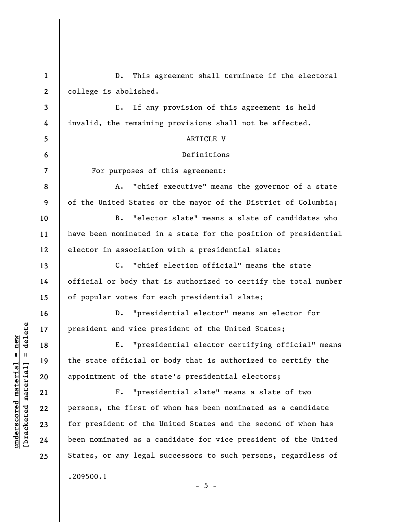**1 2 3 4 5 6 7 8 9 10 11 12 13 14 15 16 17 18 19 20 21 22 23 24 25**  D. This agreement shall terminate if the electoral college is abolished. E. If any provision of this agreement is held invalid, the remaining provisions shall not be affected. ARTICLE V Definitions For purposes of this agreement: A. "chief executive" means the governor of a state of the United States or the mayor of the District of Columbia; B. "elector slate" means a slate of candidates who have been nominated in a state for the position of presidential elector in association with a presidential slate; C. "chief election official" means the state official or body that is authorized to certify the total number of popular votes for each presidential slate; D. "presidential elector" means an elector for president and vice president of the United States; E. "presidential elector certifying official" means the state official or body that is authorized to certify the appointment of the state's presidential electors; F. "presidential slate" means a slate of two persons, the first of whom has been nominated as a candidate for president of the United States and the second of whom has been nominated as a candidate for vice president of the United States, or any legal successors to such persons, regardless of .209500.1  $- 5 -$ 

**underscored material = new [bracketed material] = delete**

 $\frac{1}{2}$  of  $\frac{1}{2}$  and  $\frac{1}{2}$  and  $\frac{1}{2}$  and  $\frac{1}{2}$  and  $\frac{1}{2}$  and  $\frac{1}{2}$  and  $\frac{1}{2}$  and  $\frac{1}{2}$  and  $\frac{1}{2}$  and  $\frac{1}{2}$  and  $\frac{1}{2}$  and  $\frac{1}{2}$  and  $\frac{1}{2}$  and  $\frac{1}{2}$  and  $\frac{1}{2}$  an  $anderscored material = new$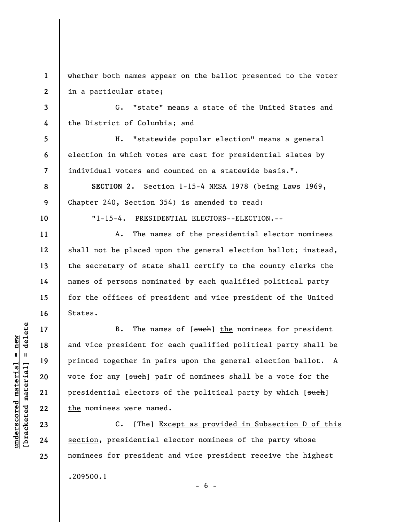**1 2**  whether both names appear on the ballot presented to the voter in a particular state;

G. "state" means a state of the United States and the District of Columbia; and

H. "statewide popular election" means a general election in which votes are cast for presidential slates by individual voters and counted on a statewide basis.".

**SECTION 2.** Section 1-15-4 NMSA 1978 (being Laws 1969, Chapter 240, Section 354) is amended to read:

"1-15-4. PRESIDENTIAL ELECTORS--ELECTION.--

A. The names of the presidential elector nominees shall not be placed upon the general election ballot; instead, the secretary of state shall certify to the county clerks the names of persons nominated by each qualified political party for the offices of president and vice president of the United States.

B. The names of [such] the nominees for president and vice president for each qualified political party shall be printed together in pairs upon the general election ballot. A vote for any [such] pair of nominees shall be a vote for the presidential electors of the political party by which [such] the nominees were named.

C. [The] Except as provided in Subsection D of this section, presidential elector nominees of the party whose nominees for president and vice president receive the highest .209500.1  $- 6 -$ 

 $\frac{1}{2}$  intereted material = delete **[bracketed material] = delete**  $underscored material = new$ **underscored material = new**

**3** 

**4** 

**5** 

**6** 

**7** 

**8** 

**9** 

**10** 

**11** 

**12** 

**13** 

**14** 

**15** 

**16** 

**17** 

**18** 

**19** 

**20** 

**21** 

**22** 

**23** 

**24** 

**25**